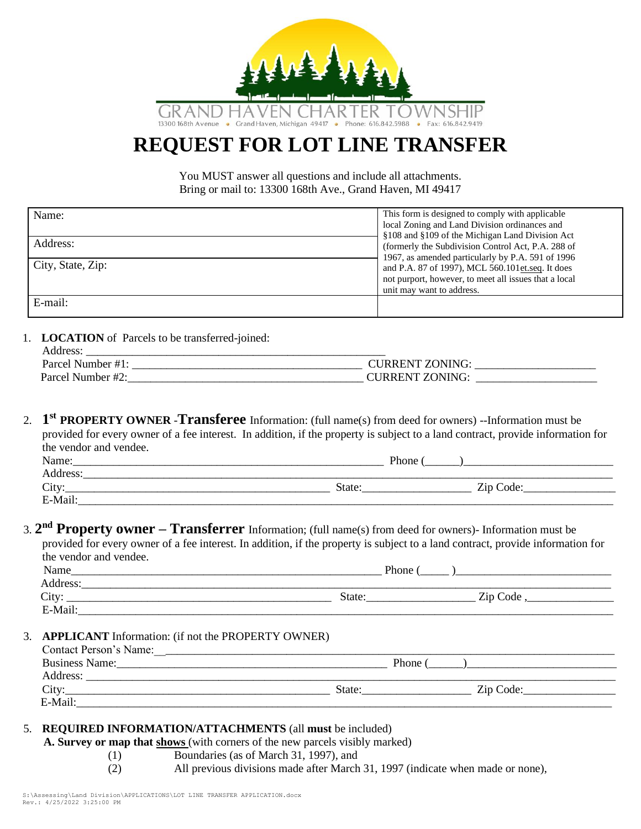

# **REQUEST FOR LOT LINE TRANSFER**

You MUST answer all questions and include all attachments. Bring or mail to: 13300 168th Ave., Grand Haven, MI 49417

| Name:             | This form is designed to comply with applicable       |  |  |
|-------------------|-------------------------------------------------------|--|--|
|                   | local Zoning and Land Division ordinances and         |  |  |
|                   | §108 and §109 of the Michigan Land Division Act       |  |  |
| Address:          | (formerly the Subdivision Control Act, P.A. 288 of    |  |  |
|                   | 1967, as amended particularly by P.A. 591 of 1996     |  |  |
| City, State, Zip: | and P.A. 87 of 1997), MCL 560.101 et.seq. It does     |  |  |
|                   | not purport, however, to meet all issues that a local |  |  |
|                   | unit may want to address.                             |  |  |
| E-mail:           |                                                       |  |  |

1. **LOCATION** of Parcels to be transferred-joined:

| Address.          |                 |
|-------------------|-----------------|
| Parcel Number #1: | CURRENT ZONING: |
| Parcel Number #2: | URRENT ZONING:  |

2. **1 st PROPERTY OWNER** -**Transferee** Information: (full name(s) from deed for owners) --Information must be provided for every owner of a fee interest. In addition, if the property is subject to a land contract, provide information for the vendor and vendee.

| Name:    | Phone  |                           |
|----------|--------|---------------------------|
| Address: |        |                           |
| City:    | State: | ÷<br>Code:<br>$\sqrt{1}n$ |
| E-Mail.  |        |                           |

### 3. **2 nd Property owner – Transferrer** Information; (full name(s) from deed for owners)- Information must be provided for every owner of a fee interest. In addition, if the property is subject to a land contract, provide information for the vendor and vendee.

| Name     | Phone  |          |
|----------|--------|----------|
| Address: |        |          |
| City:    | State: | Zip Code |
| E-Mail:  |        |          |

#### 3. **APPLICANT** Information: (if not the PROPERTY OWNER)

| <b>Contact Person's Name:</b> |        |           |
|-------------------------------|--------|-----------|
| <b>Business Name:</b>         | Phone  |           |
| Address:                      |        |           |
| City:                         | State: | Zip Code: |
| E-Mail:                       |        |           |

## 5. **REQUIRED INFORMATION/ATTACHMENTS** (all **must** be included)

 **A. Survey or map that shows** (with corners of the new parcels visibly marked)

(1) Boundaries (as of March 31, 1997), and

(2) All previous divisions made after March 31, 1997 (indicate when made or none),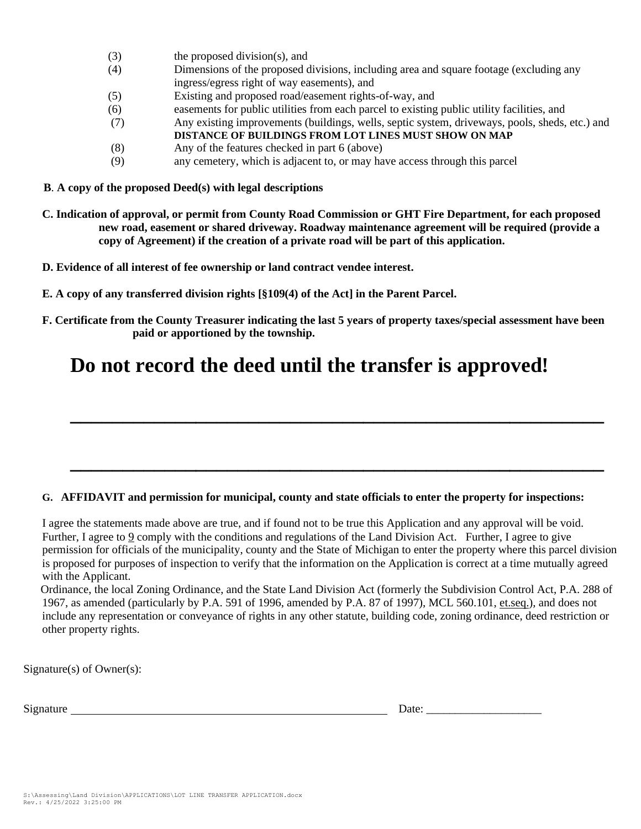- (3) the proposed division(s), and
- (4) Dimensions of the proposed divisions, including area and square footage (excluding any ingress/egress right of way easements), and
- (5) Existing and proposed road/easement rights-of-way, and
- (6) easements for public utilities from each parcel to existing public utility facilities, and
- (7) Any existing improvements (buildings, wells, septic system, driveways, pools, sheds, etc.) and
	- **DISTANCE OF BUILDINGS FROM LOT LINES MUST SHOW ON MAP**
- (8) Any of the features checked in part 6 (above)
- (9) any cemetery, which is adjacent to, or may have access through this parcel
- **B**. **A copy of the proposed Deed(s) with legal descriptions**
- **C. Indication of approval, or permit from County Road Commission or GHT Fire Department, for each proposed new road, easement or shared driveway. Roadway maintenance agreement will be required (provide a copy of Agreement) if the creation of a private road will be part of this application.**
- \_ 7 **D. Evidence of all interest of fee ownership or land contract vendee interest.**
- **E. A copy of any transferred division rights [§109(4) of the Act] in the Parent Parcel.**
- **F. Certificate from the County Treasurer indicating the last 5 years of property taxes/special assessment have been paid or apportioned by the township.**

**\_\_\_\_\_\_\_\_\_\_\_\_\_\_\_\_\_\_\_\_\_\_\_\_\_\_\_\_\_\_\_\_\_\_\_\_\_\_\_\_\_\_\_\_\_\_\_\_\_\_\_**

**\_\_\_\_\_\_\_\_\_\_\_\_\_\_\_\_\_\_\_\_\_\_\_\_\_\_\_\_\_\_\_\_\_\_\_\_\_\_\_\_\_\_\_\_\_\_\_\_\_\_\_**

# **Do not record the deed until the transfer is approved!**

#### **G. AFFIDAVIT and permission for municipal, county and state officials to enter the property for inspections:**

I agree the statements made above are true, and if found not to be true this Application and any approval will be void. Further, I agree to 9 comply with the conditions and regulations of the Land Division Act. Further, I agree to give permission for officials of the municipality, county and the State of Michigan to enter the property where this parcel division is proposed for purposes of inspection to verify that the information on the Application is correct at a time mutually agreed with the Applicant.

 Ordinance, the local Zoning Ordinance, and the State Land Division Act (formerly the Subdivision Control Act, P.A. 288 of 1967, as amended (particularly by P.A. 591 of 1996, amended by P.A. 87 of 1997), MCL 560.101, et.seq.), and does not include any representation or conveyance of rights in any other statute, building code, zoning ordinance, deed restriction or other property rights.

Signature(s) of Owner(s):

Signature Date: \_\_\_\_\_\_\_\_\_\_\_\_\_\_\_\_\_\_\_\_